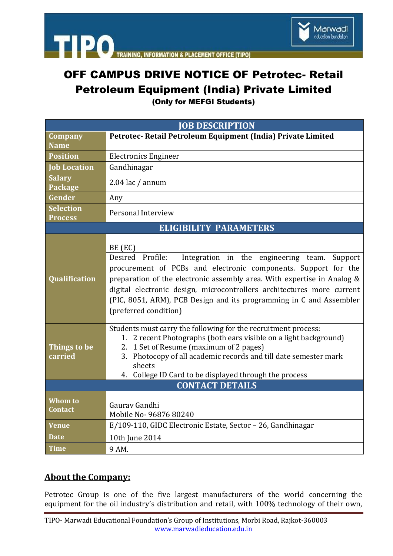

## OFF CAMPUS DRIVE NOTICE OF Petrotec- Retail Petroleum Equipment (India) Private Limited

**INFORMATION** 

**ACEMENT OFFICE ITIPOL** 

(Only for MEFGI Students)

| <b>JOB DESCRIPTION</b>             |                                                                                                                                                                                                                                                                                                                                                                                                       |
|------------------------------------|-------------------------------------------------------------------------------------------------------------------------------------------------------------------------------------------------------------------------------------------------------------------------------------------------------------------------------------------------------------------------------------------------------|
| Company                            | Petrotec- Retail Petroleum Equipment (India) Private Limited                                                                                                                                                                                                                                                                                                                                          |
| <b>Name</b>                        |                                                                                                                                                                                                                                                                                                                                                                                                       |
| <b>Position</b>                    | <b>Electronics Engineer</b>                                                                                                                                                                                                                                                                                                                                                                           |
| <b>Job Location</b>                | Gandhinagar                                                                                                                                                                                                                                                                                                                                                                                           |
| <b>Salary</b><br>Package           | $2.04$ lac / annum                                                                                                                                                                                                                                                                                                                                                                                    |
| Gender                             | Any                                                                                                                                                                                                                                                                                                                                                                                                   |
| <b>Selection</b><br><b>Process</b> | Personal Interview                                                                                                                                                                                                                                                                                                                                                                                    |
| <b>ELIGIBILITY PARAMETERS</b>      |                                                                                                                                                                                                                                                                                                                                                                                                       |
| <b>Qualification</b>               | BE (EC)<br>Desired Profile:<br>Integration in the engineering team.<br>Support<br>procurement of PCBs and electronic components. Support for the<br>preparation of the electronic assembly area. With expertise in Analog &<br>digital electronic design, microcontrollers architectures more current<br>(PIC, 8051, ARM), PCB Design and its programming in C and Assembler<br>(preferred condition) |
| Things to be<br>carried            | Students must carry the following for the recruitment process:<br>1. 2 recent Photographs (both ears visible on a light background)<br>2. 1 Set of Resume (maximum of 2 pages)<br>3. Photocopy of all academic records and till date semester mark<br>sheets<br>4. College ID Card to be displayed through the process                                                                                |
| <b>CONTACT DETAILS</b>             |                                                                                                                                                                                                                                                                                                                                                                                                       |
| Whom to<br>Contact                 | Gauray Gandhi<br>Mobile No- 96876 80240                                                                                                                                                                                                                                                                                                                                                               |
| <b>Venue</b>                       | E/109-110, GIDC Electronic Estate, Sector - 26, Gandhinagar                                                                                                                                                                                                                                                                                                                                           |
| <b>Date</b>                        | 10th June 2014                                                                                                                                                                                                                                                                                                                                                                                        |
| <b>Time</b>                        | 9 AM.                                                                                                                                                                                                                                                                                                                                                                                                 |

## **About the Company:**

**TIPO** 

Petrotec Group is one of the five largest manufacturers of the world concerning the equipment for the oil industry's distribution and retail, with 100% technology of their own,